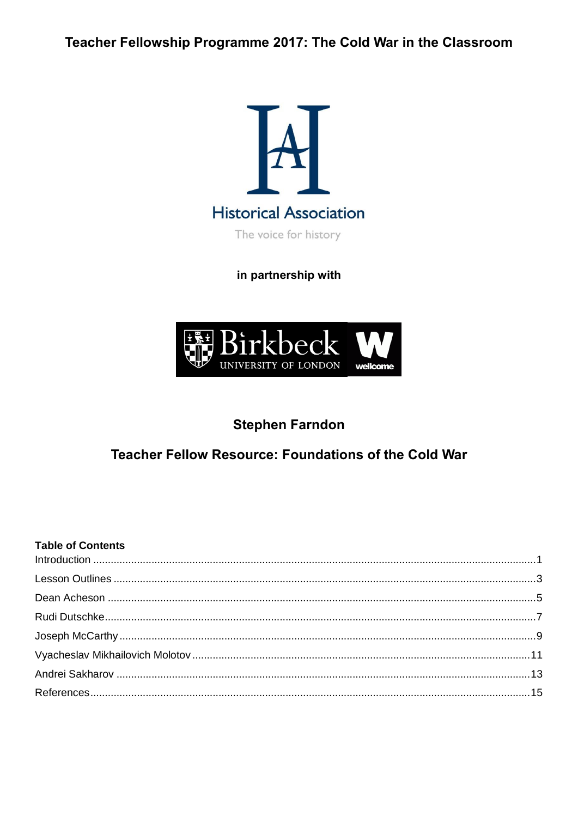Teacher Fellowship Programme 2017: The Cold War in the Classroom



in partnership with



# **Stephen Farndon**

## Teacher Fellow Resource: Foundations of the Cold War

#### **Table of Contents**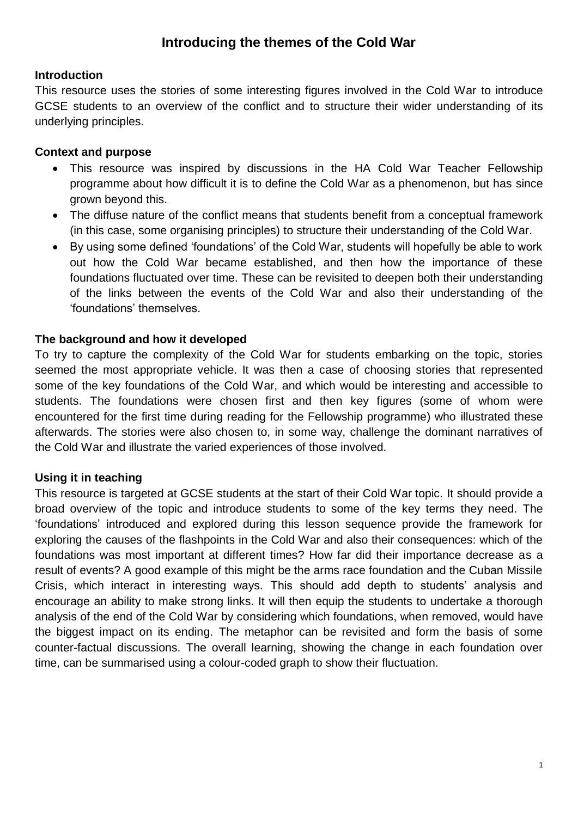## **Introducing the themes of the Cold War**

#### <span id="page-1-0"></span>**Introduction**

This resource uses the stories of some interesting figures involved in the Cold War to introduce GCSE students to an overview of the conflict and to structure their wider understanding of its underlying principles.

## **Context and purpose**

- This resource was inspired by discussions in the HA Cold War Teacher Fellowship programme about how difficult it is to define the Cold War as a phenomenon, but has since grown beyond this.
- The diffuse nature of the conflict means that students benefit from a conceptual framework (in this case, some organising principles) to structure their understanding of the Cold War.
- By using some defined 'foundations' of the Cold War, students will hopefully be able to work out how the Cold War became established, and then how the importance of these foundations fluctuated over time. These can be revisited to deepen both their understanding of the links between the events of the Cold War and also their understanding of the 'foundations' themselves.

## **The background and how it developed**

To try to capture the complexity of the Cold War for students embarking on the topic, stories seemed the most appropriate vehicle. It was then a case of choosing stories that represented some of the key foundations of the Cold War, and which would be interesting and accessible to students. The foundations were chosen first and then key figures (some of whom were encountered for the first time during reading for the Fellowship programme) who illustrated these afterwards. The stories were also chosen to, in some way, challenge the dominant narratives of the Cold War and illustrate the varied experiences of those involved.

## **Using it in teaching**

This resource is targeted at GCSE students at the start of their Cold War topic. It should provide a broad overview of the topic and introduce students to some of the key terms they need. The 'foundations' introduced and explored during this lesson sequence provide the framework for exploring the causes of the flashpoints in the Cold War and also their consequences: which of the foundations was most important at different times? How far did their importance decrease as a result of events? A good example of this might be the arms race foundation and the Cuban Missile Crisis, which interact in interesting ways. This should add depth to students' analysis and encourage an ability to make strong links. It will then equip the students to undertake a thorough analysis of the end of the Cold War by considering which foundations, when removed, would have the biggest impact on its ending. The metaphor can be revisited and form the basis of some counter-factual discussions. The overall learning, showing the change in each foundation over time, can be summarised using a colour-coded graph to show their fluctuation.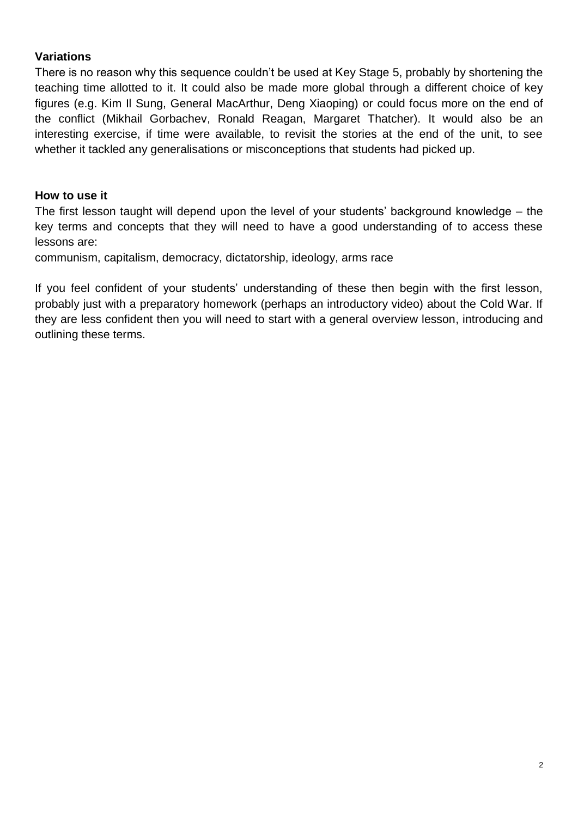## **Variations**

There is no reason why this sequence couldn't be used at Key Stage 5, probably by shortening the teaching time allotted to it. It could also be made more global through a different choice of key figures (e.g. Kim Il Sung, General MacArthur, Deng Xiaoping) or could focus more on the end of the conflict (Mikhail Gorbachev, Ronald Reagan, Margaret Thatcher). It would also be an interesting exercise, if time were available, to revisit the stories at the end of the unit, to see whether it tackled any generalisations or misconceptions that students had picked up.

#### **How to use it**

The first lesson taught will depend upon the level of your students' background knowledge – the key terms and concepts that they will need to have a good understanding of to access these lessons are:

communism, capitalism, democracy, dictatorship, ideology, arms race

If you feel confident of your students' understanding of these then begin with the first lesson, probably just with a preparatory homework (perhaps an introductory video) about the Cold War. If they are less confident then you will need to start with a general overview lesson, introducing and outlining these terms.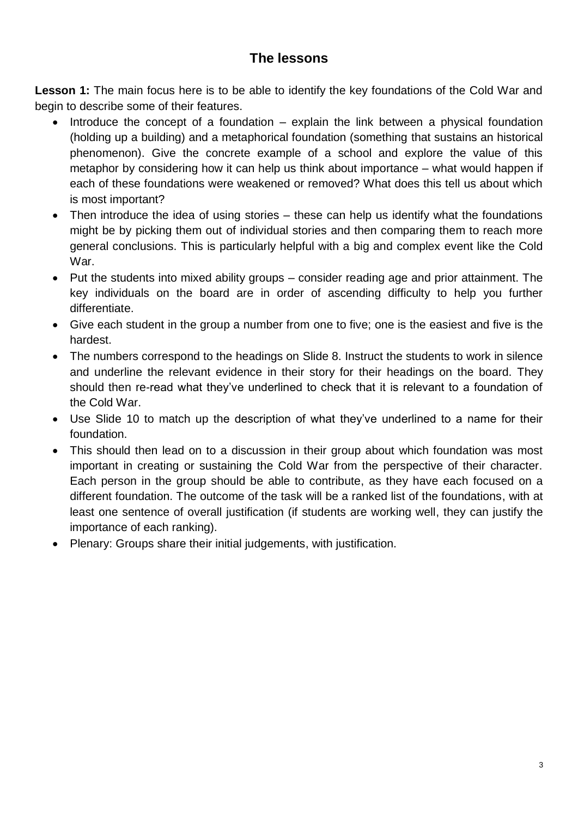## **The lessons**

<span id="page-3-0"></span>**Lesson 1:** The main focus here is to be able to identify the key foundations of the Cold War and begin to describe some of their features.

- Introduce the concept of a foundation explain the link between a physical foundation (holding up a building) and a metaphorical foundation (something that sustains an historical phenomenon). Give the concrete example of a school and explore the value of this metaphor by considering how it can help us think about importance – what would happen if each of these foundations were weakened or removed? What does this tell us about which is most important?
- Then introduce the idea of using stories these can help us identify what the foundations might be by picking them out of individual stories and then comparing them to reach more general conclusions. This is particularly helpful with a big and complex event like the Cold War.
- Put the students into mixed ability groups consider reading age and prior attainment. The key individuals on the board are in order of ascending difficulty to help you further differentiate.
- Give each student in the group a number from one to five; one is the easiest and five is the hardest.
- The numbers correspond to the headings on Slide 8. Instruct the students to work in silence and underline the relevant evidence in their story for their headings on the board. They should then re-read what they've underlined to check that it is relevant to a foundation of the Cold War.
- Use Slide 10 to match up the description of what they've underlined to a name for their foundation.
- This should then lead on to a discussion in their group about which foundation was most important in creating or sustaining the Cold War from the perspective of their character. Each person in the group should be able to contribute, as they have each focused on a different foundation. The outcome of the task will be a ranked list of the foundations, with at least one sentence of overall justification (if students are working well, they can justify the importance of each ranking).
- Plenary: Groups share their initial judgements, with justification.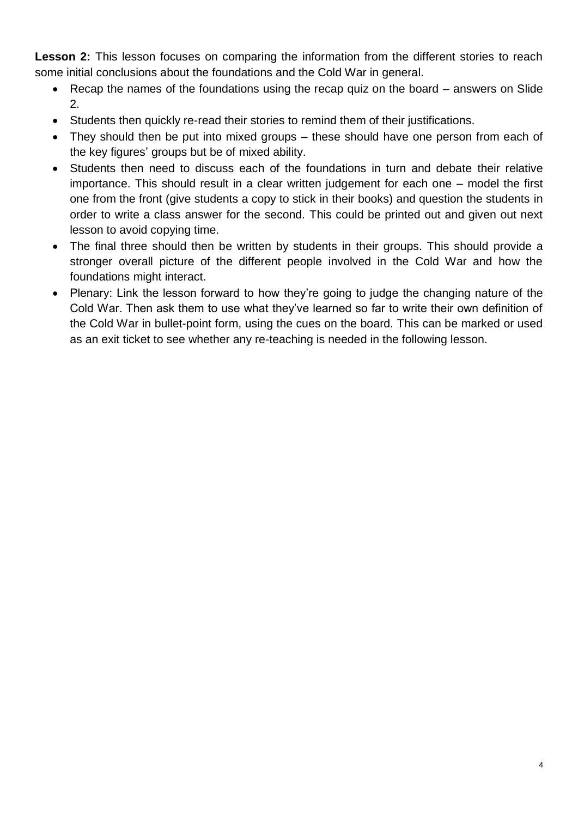Lesson 2: This lesson focuses on comparing the information from the different stories to reach some initial conclusions about the foundations and the Cold War in general.

- Recap the names of the foundations using the recap quiz on the board answers on Slide 2.
- Students then quickly re-read their stories to remind them of their justifications.
- They should then be put into mixed groups these should have one person from each of the key figures' groups but be of mixed ability.
- Students then need to discuss each of the foundations in turn and debate their relative importance. This should result in a clear written judgement for each one – model the first one from the front (give students a copy to stick in their books) and question the students in order to write a class answer for the second. This could be printed out and given out next lesson to avoid copying time.
- The final three should then be written by students in their groups. This should provide a stronger overall picture of the different people involved in the Cold War and how the foundations might interact.
- Plenary: Link the lesson forward to how they're going to judge the changing nature of the Cold War. Then ask them to use what they've learned so far to write their own definition of the Cold War in bullet-point form, using the cues on the board. This can be marked or used as an exit ticket to see whether any re-teaching is needed in the following lesson.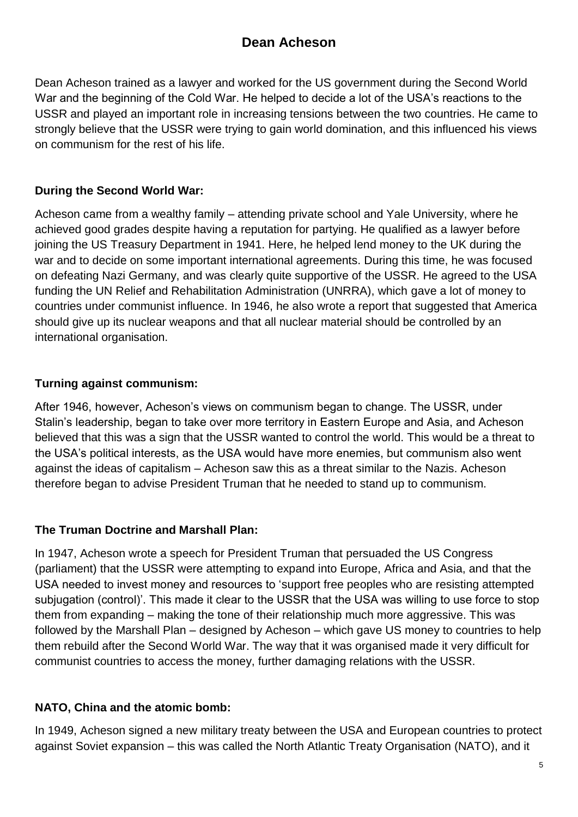# **Dean Acheson**

<span id="page-5-0"></span>Dean Acheson trained as a lawyer and worked for the US government during the Second World War and the beginning of the Cold War. He helped to decide a lot of the USA's reactions to the USSR and played an important role in increasing tensions between the two countries. He came to strongly believe that the USSR were trying to gain world domination, and this influenced his views on communism for the rest of his life.

## **During the Second World War:**

Acheson came from a wealthy family – attending private school and Yale University, where he achieved good grades despite having a reputation for partying. He qualified as a lawyer before joining the US Treasury Department in 1941. Here, he helped lend money to the UK during the war and to decide on some important international agreements. During this time, he was focused on defeating Nazi Germany, and was clearly quite supportive of the USSR. He agreed to the USA funding the UN Relief and Rehabilitation Administration (UNRRA), which gave a lot of money to countries under communist influence. In 1946, he also wrote a report that suggested that America should give up its nuclear weapons and that all nuclear material should be controlled by an international organisation.

#### **Turning against communism:**

After 1946, however, Acheson's views on communism began to change. The USSR, under Stalin's leadership, began to take over more territory in Eastern Europe and Asia, and Acheson believed that this was a sign that the USSR wanted to control the world. This would be a threat to the USA's political interests, as the USA would have more enemies, but communism also went against the ideas of capitalism – Acheson saw this as a threat similar to the Nazis. Acheson therefore began to advise President Truman that he needed to stand up to communism.

## **The Truman Doctrine and Marshall Plan:**

In 1947, Acheson wrote a speech for President Truman that persuaded the US Congress (parliament) that the USSR were attempting to expand into Europe, Africa and Asia, and that the USA needed to invest money and resources to 'support free peoples who are resisting attempted subjugation (control)'. This made it clear to the USSR that the USA was willing to use force to stop them from expanding – making the tone of their relationship much more aggressive. This was followed by the Marshall Plan – designed by Acheson – which gave US money to countries to help them rebuild after the Second World War. The way that it was organised made it very difficult for communist countries to access the money, further damaging relations with the USSR.

## **NATO, China and the atomic bomb:**

In 1949, Acheson signed a new military treaty between the USA and European countries to protect against Soviet expansion – this was called the North Atlantic Treaty Organisation (NATO), and it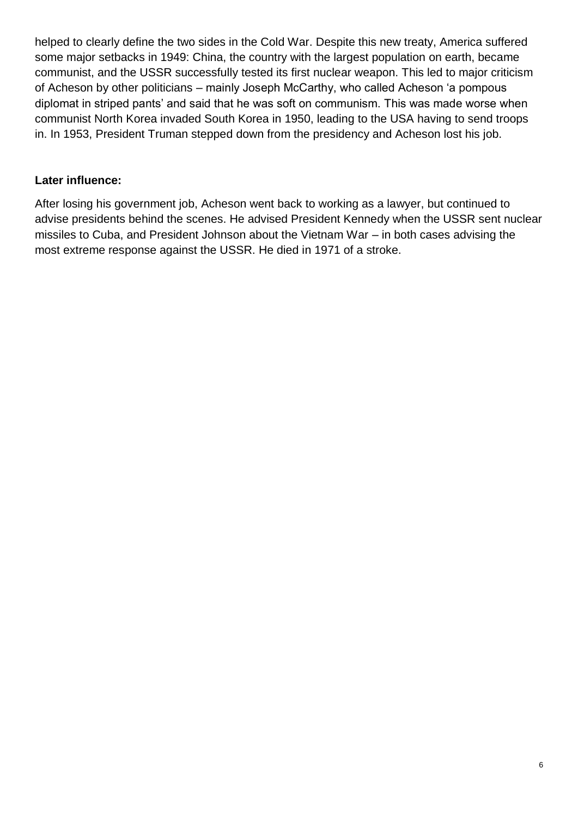helped to clearly define the two sides in the Cold War. Despite this new treaty, America suffered some major setbacks in 1949: China, the country with the largest population on earth, became communist, and the USSR successfully tested its first nuclear weapon. This led to major criticism of Acheson by other politicians – mainly Joseph McCarthy, who called Acheson 'a pompous diplomat in striped pants' and said that he was soft on communism. This was made worse when communist North Korea invaded South Korea in 1950, leading to the USA having to send troops in. In 1953, President Truman stepped down from the presidency and Acheson lost his job.

#### **Later influence:**

After losing his government job, Acheson went back to working as a lawyer, but continued to advise presidents behind the scenes. He advised President Kennedy when the USSR sent nuclear missiles to Cuba, and President Johnson about the Vietnam War – in both cases advising the most extreme response against the USSR. He died in 1971 of a stroke.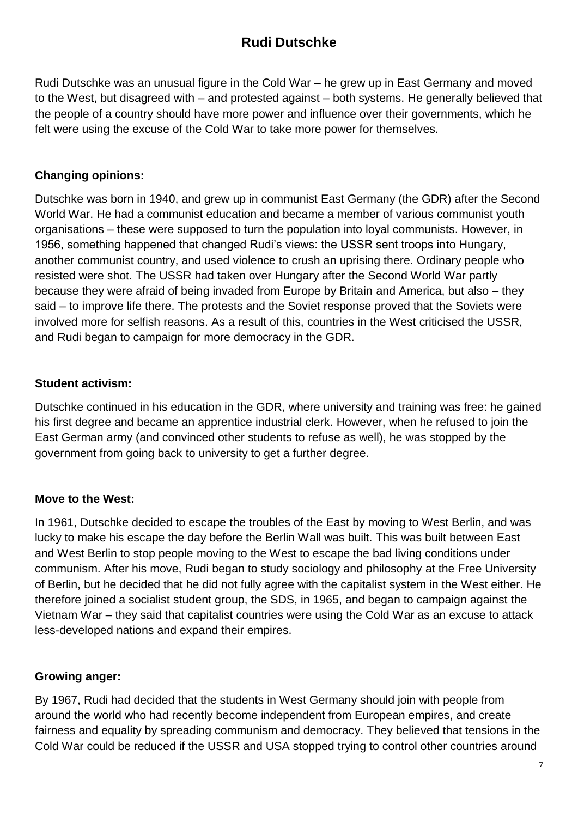# **Rudi Dutschke**

<span id="page-7-0"></span>Rudi Dutschke was an unusual figure in the Cold War – he grew up in East Germany and moved to the West, but disagreed with – and protested against – both systems. He generally believed that the people of a country should have more power and influence over their governments, which he felt were using the excuse of the Cold War to take more power for themselves.

## **Changing opinions:**

Dutschke was born in 1940, and grew up in communist East Germany (the GDR) after the Second World War. He had a communist education and became a member of various communist youth organisations – these were supposed to turn the population into loyal communists. However, in 1956, something happened that changed Rudi's views: the USSR sent troops into Hungary, another communist country, and used violence to crush an uprising there. Ordinary people who resisted were shot. The USSR had taken over Hungary after the Second World War partly because they were afraid of being invaded from Europe by Britain and America, but also – they said – to improve life there. The protests and the Soviet response proved that the Soviets were involved more for selfish reasons. As a result of this, countries in the West criticised the USSR, and Rudi began to campaign for more democracy in the GDR.

#### **Student activism:**

Dutschke continued in his education in the GDR, where university and training was free: he gained his first degree and became an apprentice industrial clerk. However, when he refused to join the East German army (and convinced other students to refuse as well), he was stopped by the government from going back to university to get a further degree.

#### **Move to the West:**

In 1961, Dutschke decided to escape the troubles of the East by moving to West Berlin, and was lucky to make his escape the day before the Berlin Wall was built. This was built between East and West Berlin to stop people moving to the West to escape the bad living conditions under communism. After his move, Rudi began to study sociology and philosophy at the Free University of Berlin, but he decided that he did not fully agree with the capitalist system in the West either. He therefore joined a socialist student group, the SDS, in 1965, and began to campaign against the Vietnam War – they said that capitalist countries were using the Cold War as an excuse to attack less-developed nations and expand their empires.

## **Growing anger:**

By 1967, Rudi had decided that the students in West Germany should join with people from around the world who had recently become independent from European empires, and create fairness and equality by spreading communism and democracy. They believed that tensions in the Cold War could be reduced if the USSR and USA stopped trying to control other countries around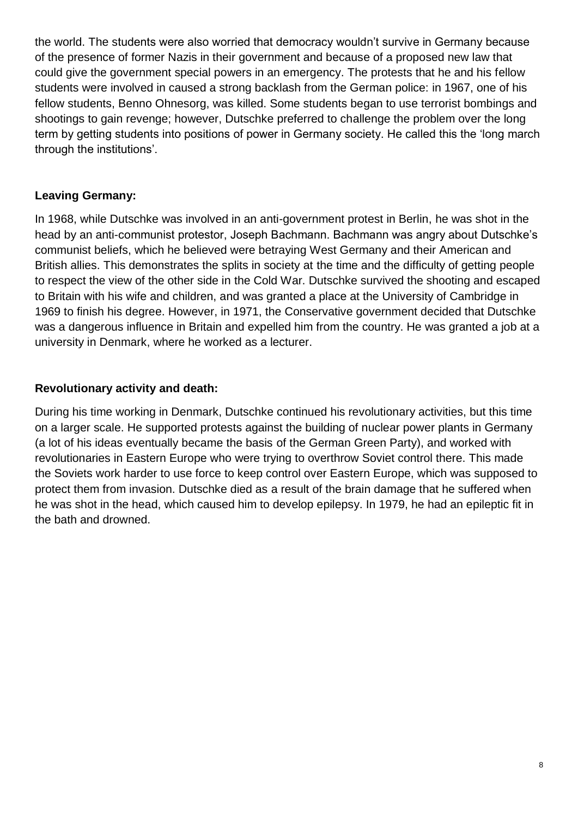the world. The students were also worried that democracy wouldn't survive in Germany because of the presence of former Nazis in their government and because of a proposed new law that could give the government special powers in an emergency. The protests that he and his fellow students were involved in caused a strong backlash from the German police: in 1967, one of his fellow students, Benno Ohnesorg, was killed. Some students began to use terrorist bombings and shootings to gain revenge; however, Dutschke preferred to challenge the problem over the long term by getting students into positions of power in Germany society. He called this the 'long march through the institutions'.

## **Leaving Germany:**

In 1968, while Dutschke was involved in an anti-government protest in Berlin, he was shot in the head by an anti-communist protestor, Joseph Bachmann. Bachmann was angry about Dutschke's communist beliefs, which he believed were betraying West Germany and their American and British allies. This demonstrates the splits in society at the time and the difficulty of getting people to respect the view of the other side in the Cold War. Dutschke survived the shooting and escaped to Britain with his wife and children, and was granted a place at the University of Cambridge in 1969 to finish his degree. However, in 1971, the Conservative government decided that Dutschke was a dangerous influence in Britain and expelled him from the country. He was granted a job at a university in Denmark, where he worked as a lecturer.

## **Revolutionary activity and death:**

During his time working in Denmark, Dutschke continued his revolutionary activities, but this time on a larger scale. He supported protests against the building of nuclear power plants in Germany (a lot of his ideas eventually became the basis of the German Green Party), and worked with revolutionaries in Eastern Europe who were trying to overthrow Soviet control there. This made the Soviets work harder to use force to keep control over Eastern Europe, which was supposed to protect them from invasion. Dutschke died as a result of the brain damage that he suffered when he was shot in the head, which caused him to develop epilepsy. In 1979, he had an epileptic fit in the bath and drowned.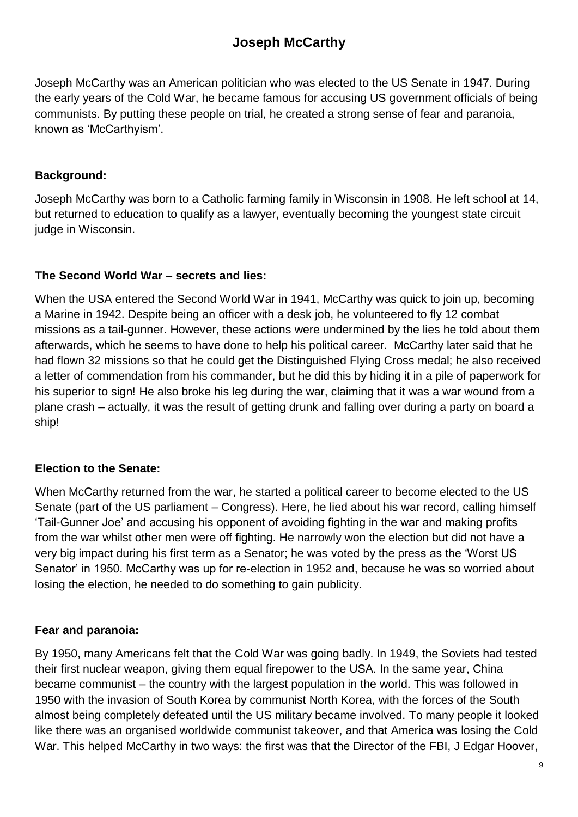# **Joseph McCarthy**

<span id="page-9-0"></span>Joseph McCarthy was an American politician who was elected to the US Senate in 1947. During the early years of the Cold War, he became famous for accusing US government officials of being communists. By putting these people on trial, he created a strong sense of fear and paranoia, known as 'McCarthyism'.

#### **Background:**

Joseph McCarthy was born to a Catholic farming family in Wisconsin in 1908. He left school at 14, but returned to education to qualify as a lawyer, eventually becoming the youngest state circuit judge in Wisconsin.

## **The Second World War – secrets and lies:**

When the USA entered the Second World War in 1941, McCarthy was quick to join up, becoming a Marine in 1942. Despite being an officer with a desk job, he volunteered to fly 12 combat missions as a tail-gunner. However, these actions were undermined by the lies he told about them afterwards, which he seems to have done to help his political career. McCarthy later said that he had flown 32 missions so that he could get the Distinguished Flying Cross medal; he also received a letter of commendation from his commander, but he did this by hiding it in a pile of paperwork for his superior to sign! He also broke his leg during the war, claiming that it was a war wound from a plane crash – actually, it was the result of getting drunk and falling over during a party on board a ship!

## **Election to the Senate:**

When McCarthy returned from the war, he started a political career to become elected to the US Senate (part of the US parliament – Congress). Here, he lied about his war record, calling himself 'Tail-Gunner Joe' and accusing his opponent of avoiding fighting in the war and making profits from the war whilst other men were off fighting. He narrowly won the election but did not have a very big impact during his first term as a Senator; he was voted by the press as the 'Worst US Senator' in 1950. McCarthy was up for re-election in 1952 and, because he was so worried about losing the election, he needed to do something to gain publicity.

## **Fear and paranoia:**

By 1950, many Americans felt that the Cold War was going badly. In 1949, the Soviets had tested their first nuclear weapon, giving them equal firepower to the USA. In the same year, China became communist – the country with the largest population in the world. This was followed in 1950 with the invasion of South Korea by communist North Korea, with the forces of the South almost being completely defeated until the US military became involved. To many people it looked like there was an organised worldwide communist takeover, and that America was losing the Cold War. This helped McCarthy in two ways: the first was that the Director of the FBI, J Edgar Hoover,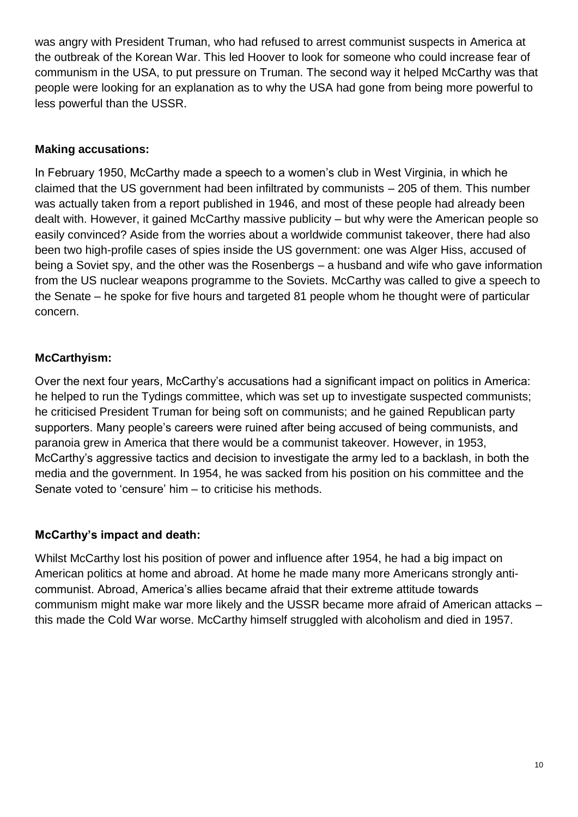was angry with President Truman, who had refused to arrest communist suspects in America at the outbreak of the Korean War. This led Hoover to look for someone who could increase fear of communism in the USA, to put pressure on Truman. The second way it helped McCarthy was that people were looking for an explanation as to why the USA had gone from being more powerful to less powerful than the USSR.

#### **Making accusations:**

In February 1950, McCarthy made a speech to a women's club in West Virginia, in which he claimed that the US government had been infiltrated by communists – 205 of them. This number was actually taken from a report published in 1946, and most of these people had already been dealt with. However, it gained McCarthy massive publicity – but why were the American people so easily convinced? Aside from the worries about a worldwide communist takeover, there had also been two high-profile cases of spies inside the US government: one was Alger Hiss, accused of being a Soviet spy, and the other was the Rosenbergs – a husband and wife who gave information from the US nuclear weapons programme to the Soviets. McCarthy was called to give a speech to the Senate – he spoke for five hours and targeted 81 people whom he thought were of particular concern.

## **McCarthyism:**

Over the next four years, McCarthy's accusations had a significant impact on politics in America: he helped to run the Tydings committee, which was set up to investigate suspected communists; he criticised President Truman for being soft on communists; and he gained Republican party supporters. Many people's careers were ruined after being accused of being communists, and paranoia grew in America that there would be a communist takeover. However, in 1953, McCarthy's aggressive tactics and decision to investigate the army led to a backlash, in both the media and the government. In 1954, he was sacked from his position on his committee and the Senate voted to 'censure' him – to criticise his methods.

#### **McCarthy's impact and death:**

Whilst McCarthy lost his position of power and influence after 1954, he had a big impact on American politics at home and abroad. At home he made many more Americans strongly anticommunist. Abroad, America's allies became afraid that their extreme attitude towards communism might make war more likely and the USSR became more afraid of American attacks – this made the Cold War worse. McCarthy himself struggled with alcoholism and died in 1957.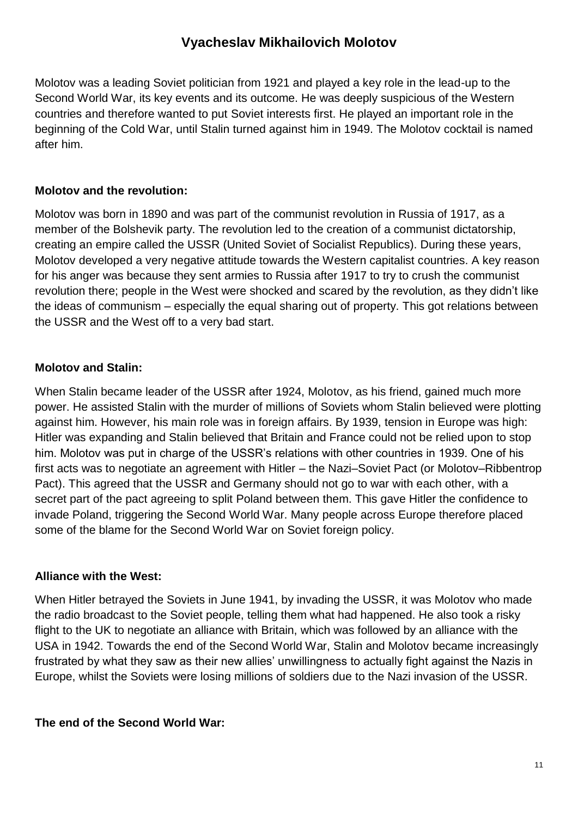## **Vyacheslav Mikhailovich Molotov**

<span id="page-11-0"></span>Molotov was a leading Soviet politician from 1921 and played a key role in the lead-up to the Second World War, its key events and its outcome. He was deeply suspicious of the Western countries and therefore wanted to put Soviet interests first. He played an important role in the beginning of the Cold War, until Stalin turned against him in 1949. The Molotov cocktail is named after him.

#### **Molotov and the revolution:**

Molotov was born in 1890 and was part of the communist revolution in Russia of 1917, as a member of the Bolshevik party. The revolution led to the creation of a communist dictatorship, creating an empire called the USSR (United Soviet of Socialist Republics). During these years, Molotov developed a very negative attitude towards the Western capitalist countries. A key reason for his anger was because they sent armies to Russia after 1917 to try to crush the communist revolution there; people in the West were shocked and scared by the revolution, as they didn't like the ideas of communism – especially the equal sharing out of property. This got relations between the USSR and the West off to a very bad start.

## **Molotov and Stalin:**

When Stalin became leader of the USSR after 1924, Molotov, as his friend, gained much more power. He assisted Stalin with the murder of millions of Soviets whom Stalin believed were plotting against him. However, his main role was in foreign affairs. By 1939, tension in Europe was high: Hitler was expanding and Stalin believed that Britain and France could not be relied upon to stop him. Molotov was put in charge of the USSR's relations with other countries in 1939. One of his first acts was to negotiate an agreement with Hitler – the Nazi–Soviet Pact (or Molotov–Ribbentrop Pact). This agreed that the USSR and Germany should not go to war with each other, with a secret part of the pact agreeing to split Poland between them. This gave Hitler the confidence to invade Poland, triggering the Second World War. Many people across Europe therefore placed some of the blame for the Second World War on Soviet foreign policy.

#### **Alliance with the West:**

When Hitler betrayed the Soviets in June 1941, by invading the USSR, it was Molotov who made the radio broadcast to the Soviet people, telling them what had happened. He also took a risky flight to the UK to negotiate an alliance with Britain, which was followed by an alliance with the USA in 1942. Towards the end of the Second World War, Stalin and Molotov became increasingly frustrated by what they saw as their new allies' unwillingness to actually fight against the Nazis in Europe, whilst the Soviets were losing millions of soldiers due to the Nazi invasion of the USSR.

#### **The end of the Second World War:**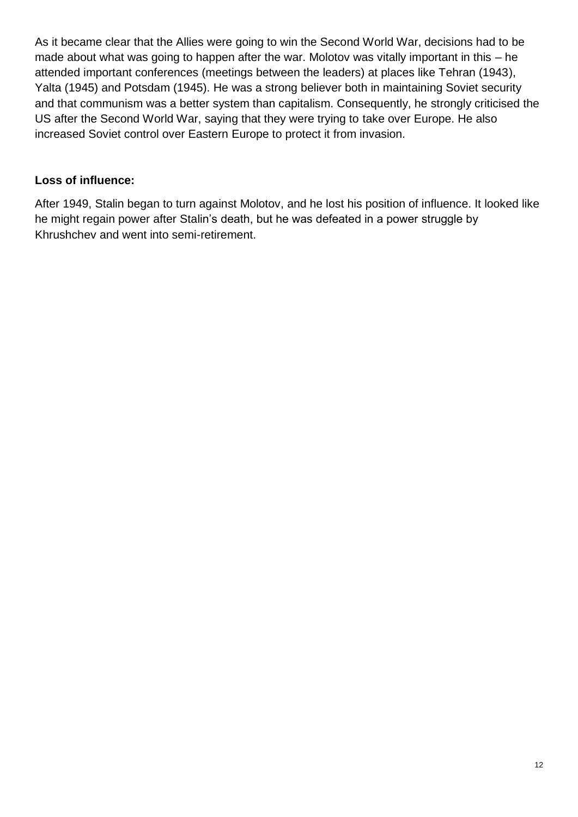As it became clear that the Allies were going to win the Second World War, decisions had to be made about what was going to happen after the war. Molotov was vitally important in this – he attended important conferences (meetings between the leaders) at places like Tehran (1943), Yalta (1945) and Potsdam (1945). He was a strong believer both in maintaining Soviet security and that communism was a better system than capitalism. Consequently, he strongly criticised the US after the Second World War, saying that they were trying to take over Europe. He also increased Soviet control over Eastern Europe to protect it from invasion.

## **Loss of influence:**

After 1949, Stalin began to turn against Molotov, and he lost his position of influence. It looked like he might regain power after Stalin's death, but he was defeated in a power struggle by Khrushchev and went into semi-retirement.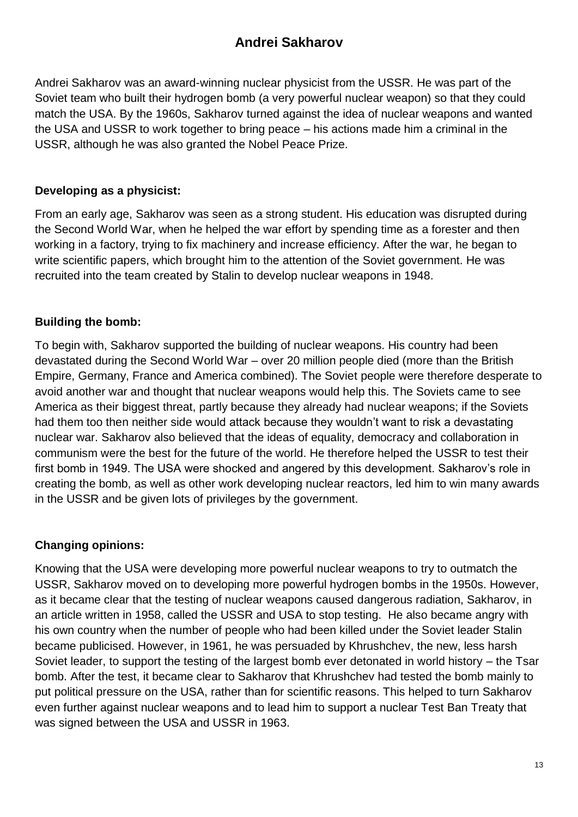## **Andrei Sakharov**

<span id="page-13-0"></span>Andrei Sakharov was an award-winning nuclear physicist from the USSR. He was part of the Soviet team who built their hydrogen bomb (a very powerful nuclear weapon) so that they could match the USA. By the 1960s, Sakharov turned against the idea of nuclear weapons and wanted the USA and USSR to work together to bring peace – his actions made him a criminal in the USSR, although he was also granted the Nobel Peace Prize.

#### **Developing as a physicist:**

From an early age, Sakharov was seen as a strong student. His education was disrupted during the Second World War, when he helped the war effort by spending time as a forester and then working in a factory, trying to fix machinery and increase efficiency. After the war, he began to write scientific papers, which brought him to the attention of the Soviet government. He was recruited into the team created by Stalin to develop nuclear weapons in 1948.

## **Building the bomb:**

To begin with, Sakharov supported the building of nuclear weapons. His country had been devastated during the Second World War – over 20 million people died (more than the British Empire, Germany, France and America combined). The Soviet people were therefore desperate to avoid another war and thought that nuclear weapons would help this. The Soviets came to see America as their biggest threat, partly because they already had nuclear weapons; if the Soviets had them too then neither side would attack because they wouldn't want to risk a devastating nuclear war. Sakharov also believed that the ideas of equality, democracy and collaboration in communism were the best for the future of the world. He therefore helped the USSR to test their first bomb in 1949. The USA were shocked and angered by this development. Sakharov's role in creating the bomb, as well as other work developing nuclear reactors, led him to win many awards in the USSR and be given lots of privileges by the government.

#### **Changing opinions:**

Knowing that the USA were developing more powerful nuclear weapons to try to outmatch the USSR, Sakharov moved on to developing more powerful hydrogen bombs in the 1950s. However, as it became clear that the testing of nuclear weapons caused dangerous radiation, Sakharov, in an article written in 1958, called the USSR and USA to stop testing. He also became angry with his own country when the number of people who had been killed under the Soviet leader Stalin became publicised. However, in 1961, he was persuaded by Khrushchev, the new, less harsh Soviet leader, to support the testing of the largest bomb ever detonated in world history – the Tsar bomb. After the test, it became clear to Sakharov that Khrushchev had tested the bomb mainly to put political pressure on the USA, rather than for scientific reasons. This helped to turn Sakharov even further against nuclear weapons and to lead him to support a nuclear Test Ban Treaty that was signed between the USA and USSR in 1963.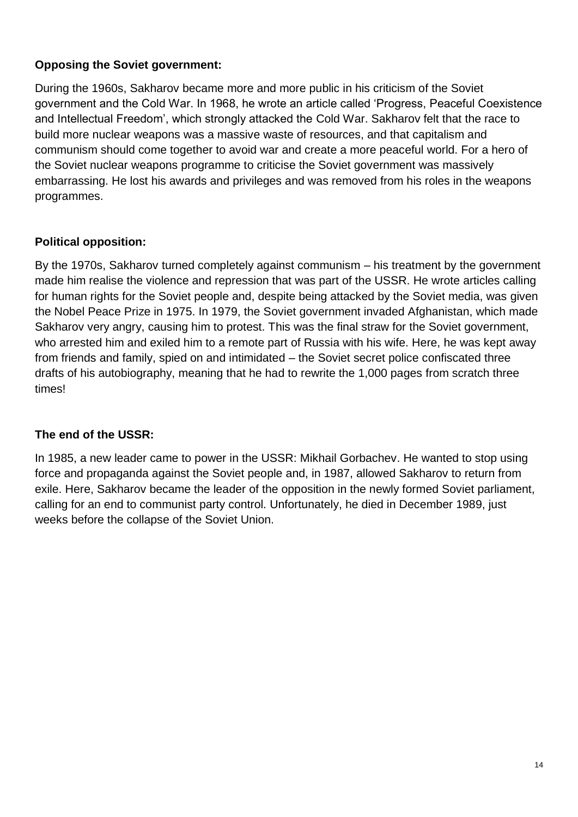## **Opposing the Soviet government:**

During the 1960s, Sakharov became more and more public in his criticism of the Soviet government and the Cold War. In 1968, he wrote an article called 'Progress, Peaceful Coexistence and Intellectual Freedom', which strongly attacked the Cold War. Sakharov felt that the race to build more nuclear weapons was a massive waste of resources, and that capitalism and communism should come together to avoid war and create a more peaceful world. For a hero of the Soviet nuclear weapons programme to criticise the Soviet government was massively embarrassing. He lost his awards and privileges and was removed from his roles in the weapons programmes.

## **Political opposition:**

By the 1970s, Sakharov turned completely against communism – his treatment by the government made him realise the violence and repression that was part of the USSR. He wrote articles calling for human rights for the Soviet people and, despite being attacked by the Soviet media, was given the Nobel Peace Prize in 1975. In 1979, the Soviet government invaded Afghanistan, which made Sakharov very angry, causing him to protest. This was the final straw for the Soviet government, who arrested him and exiled him to a remote part of Russia with his wife. Here, he was kept away from friends and family, spied on and intimidated – the Soviet secret police confiscated three drafts of his autobiography, meaning that he had to rewrite the 1,000 pages from scratch three times!

#### **The end of the USSR:**

In 1985, a new leader came to power in the USSR: Mikhail Gorbachev. He wanted to stop using force and propaganda against the Soviet people and, in 1987, allowed Sakharov to return from exile. Here, Sakharov became the leader of the opposition in the newly formed Soviet parliament, calling for an end to communist party control. Unfortunately, he died in December 1989, just weeks before the collapse of the Soviet Union.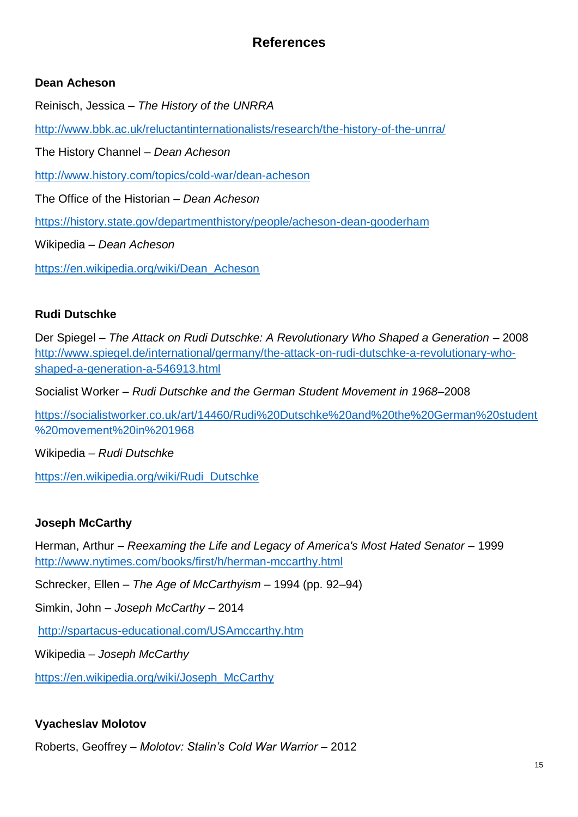# **References**

## <span id="page-15-0"></span>**Dean Acheson**

Reinisch, Jessica – *The History of the UNRRA*

<http://www.bbk.ac.uk/reluctantinternationalists/research/the-history-of-the-unrra/>

The History Channel – *Dean Acheson* 

<http://www.history.com/topics/cold-war/dean-acheson>

The Office of the Historian – *Dean Acheson*

<https://history.state.gov/departmenthistory/people/acheson-dean-gooderham>

Wikipedia – *Dean Acheson*

[https://en.wikipedia.org/wiki/Dean\\_Acheson](https://en.wikipedia.org/wiki/Dean_Acheson)

#### **Rudi Dutschke**

Der Spiegel – *The Attack on Rudi Dutschke: A Revolutionary Who Shaped a Generation* – 2008 [http://www.spiegel.de/international/germany/the-attack-on-rudi-dutschke-a-revolutionary-who](http://www.spiegel.de/international/germany/the-attack-on-rudi-dutschke-a-revolutionary-who-shaped-a-generation-a-546913.html)[shaped-a-generation-a-546913.html](http://www.spiegel.de/international/germany/the-attack-on-rudi-dutschke-a-revolutionary-who-shaped-a-generation-a-546913.html)

Socialist Worker – *Rudi Dutschke and the German Student Movement in 1968*–2008

[https://socialistworker.co.uk/art/14460/Rudi%20Dutschke%20and%20the%20German%20student](https://socialistworker.co.uk/art/14460/Rudi%20Dutschke%20and%20the%20German%20student%20movement%20in%201968) [%20movement%20in%201968](https://socialistworker.co.uk/art/14460/Rudi%20Dutschke%20and%20the%20German%20student%20movement%20in%201968)

Wikipedia – *Rudi Dutschke*

[https://en.wikipedia.org/wiki/Rudi\\_Dutschke](https://en.wikipedia.org/wiki/Rudi_Dutschke)

#### **Joseph McCarthy**

Herman, Arthur – *Reexaming the Life and Legacy of America's Most Hated Senator* – 1999 <http://www.nytimes.com/books/first/h/herman-mccarthy.html>

Schrecker, Ellen – *The Age of McCarthyism* – 1994 (pp. 92–94)

Simkin, John – *Joseph McCarthy* – 2014

<http://spartacus-educational.com/USAmccarthy.htm>

Wikipedia – *Joseph McCarthy*

[https://en.wikipedia.org/wiki/Joseph\\_McCarthy](https://en.wikipedia.org/wiki/Joseph_McCarthy)

## **Vyacheslav Molotov**

Roberts, Geoffrey – *Molotov: Stalin's Cold War Warrior –* 2012